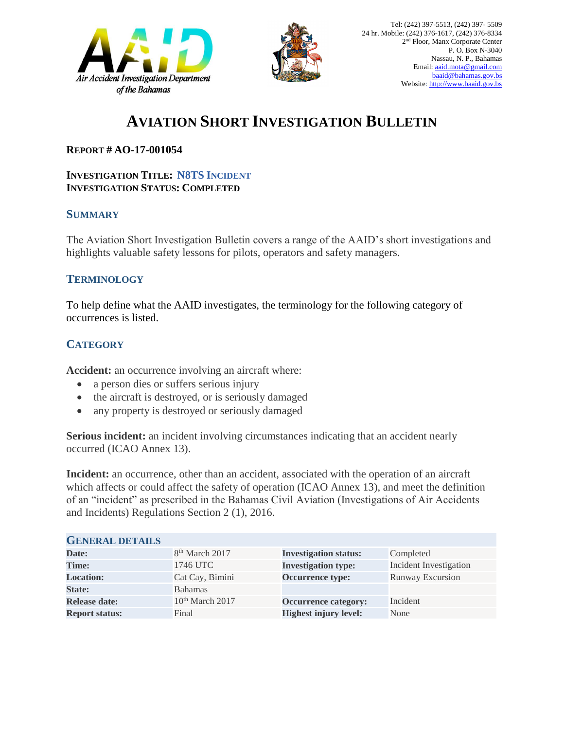



# **AVIATION SHORT INVESTIGATION BULLETIN**

## **REPORT # AO-17-001054**

#### **INVESTIGATION TITLE: N8TS INCIDENT INVESTIGATION STATUS: COMPLETED**

#### **SUMMARY**

The Aviation Short Investigation Bulletin covers a range of the AAID's short investigations and highlights valuable safety lessons for pilots, operators and safety managers.

## **TERMINOLOGY**

To help define what the AAID investigates, the terminology for the following category of occurrences is listed.

# **CATEGORY**

**Accident:** an occurrence involving an aircraft where:

- a person dies or suffers serious injury
- the aircraft is destroyed, or is seriously damaged
- any property is destroyed or seriously damaged

**Serious incident:** an incident involving circumstances indicating that an accident nearly occurred (ICAO Annex 13).

**Incident:** an occurrence, other than an accident, associated with the operation of an aircraft which affects or could affect the safety of operation (ICAO Annex 13), and meet the definition of an "incident" as prescribed in the Bahamas Civil Aviation (Investigations of Air Accidents and Incidents) Regulations Section 2 (1), 2016.

| <b>GENERAL DETAILS</b> |                             |                              |                               |
|------------------------|-----------------------------|------------------------------|-------------------------------|
| Date:                  | 8 <sup>th</sup> March 2017  | <b>Investigation status:</b> | Completed                     |
| Time:                  | 1746 UTC                    | <b>Investigation type:</b>   | <b>Incident Investigation</b> |
| <b>Location:</b>       | Cat Cay, Bimini             | Occurrence type:             | <b>Runway Excursion</b>       |
| <b>State:</b>          | <b>Bahamas</b>              |                              |                               |
| <b>Release date:</b>   | 10 <sup>th</sup> March 2017 | <b>Occurrence category:</b>  | Incident                      |
| <b>Report status:</b>  | Final                       | <b>Highest injury level:</b> | None                          |